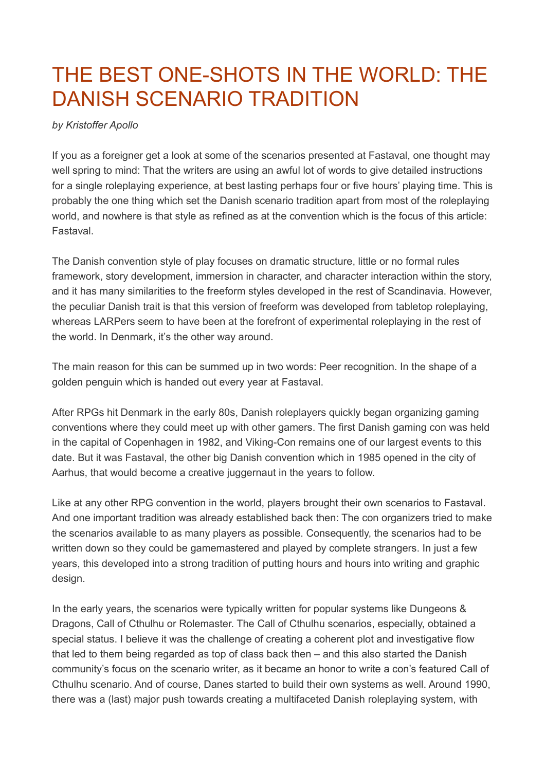## THE BEST ONE-SHOTS IN THE WORLD: THE DANISH SCENARIO TRADITION

## *by Kristoffer Apollo*

If you as a foreigner get a look at some of the scenarios presented at Fastaval, one thought may well spring to mind: That the writers are using an awful lot of words to give detailed instructions for a single roleplaying experience, at best lasting perhaps four or five hours' playing time. This is probably the one thing which set the Danish scenario tradition apart from most of the roleplaying world, and nowhere is that style as refined as at the convention which is the focus of this article: Fastaval.

The Danish convention style of play focuses on dramatic structure, little or no formal rules framework, story development, immersion in character, and character interaction within the story, and it has many similarities to the freeform styles developed in the rest of Scandinavia. However, the peculiar Danish trait is that this version of freeform was developed from tabletop roleplaying, whereas LARPers seem to have been at the forefront of experimental roleplaying in the rest of the world. In Denmark, it's the other way around.

The main reason for this can be summed up in two words: Peer recognition. In the shape of a golden penguin which is handed out every year at Fastaval.

After RPGs hit Denmark in the early 80s, Danish roleplayers quickly began organizing gaming conventions where they could meet up with other gamers. The first Danish gaming con was held in the capital of Copenhagen in 1982, and Viking-Con remains one of our largest events to this date. But it was Fastaval, the other big Danish convention which in 1985 opened in the city of Aarhus, that would become a creative juggernaut in the years to follow.

Like at any other RPG convention in the world, players brought their own scenarios to Fastaval. And one important tradition was already established back then: The con organizers tried to make the scenarios available to as many players as possible. Consequently, the scenarios had to be written down so they could be gamemastered and played by complete strangers. In just a few years, this developed into a strong tradition of putting hours and hours into writing and graphic design.

In the early years, the scenarios were typically written for popular systems like Dungeons & Dragons, Call of Cthulhu or Rolemaster. The Call of Cthulhu scenarios, especially, obtained a special status. I believe it was the challenge of creating a coherent plot and investigative flow that led to them being regarded as top of class back then – and this also started the Danish community's focus on the scenario writer, as it became an honor to write a con's featured Call of Cthulhu scenario. And of course, Danes started to build their own systems as well. Around 1990, there was a (last) major push towards creating a multifaceted Danish roleplaying system, with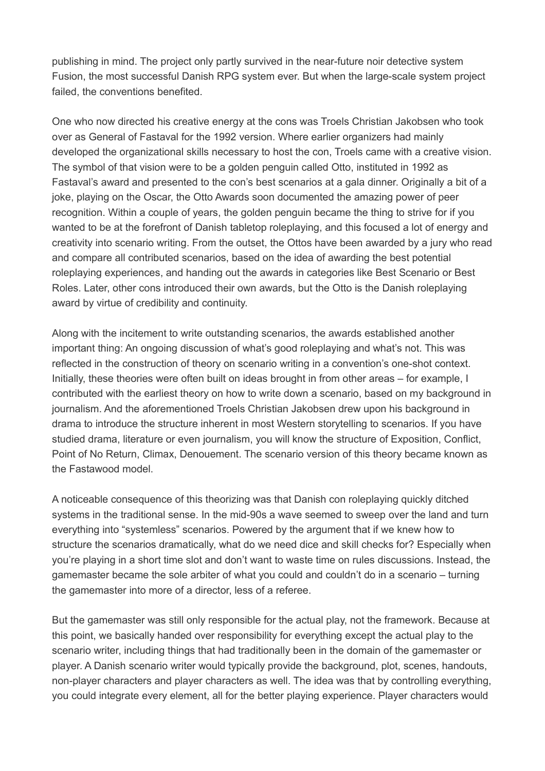publishing in mind. The project only partly survived in the near-future noir detective system Fusion, the most successful Danish RPG system ever. But when the large-scale system project failed, the conventions benefited.

One who now directed his creative energy at the cons was Troels Christian Jakobsen who took over as General of Fastaval for the 1992 version. Where earlier organizers had mainly developed the organizational skills necessary to host the con, Troels came with a creative vision. The symbol of that vision were to be a golden penguin called Otto, instituted in 1992 as Fastaval's award and presented to the con's best scenarios at a gala dinner. Originally a bit of a joke, playing on the Oscar, the Otto Awards soon documented the amazing power of peer recognition. Within a couple of years, the golden penguin became the thing to strive for if you wanted to be at the forefront of Danish tabletop roleplaying, and this focused a lot of energy and creativity into scenario writing. From the outset, the Ottos have been awarded by a jury who read and compare all contributed scenarios, based on the idea of awarding the best potential roleplaying experiences, and handing out the awards in categories like Best Scenario or Best Roles. Later, other cons introduced their own awards, but the Otto is the Danish roleplaying award by virtue of credibility and continuity.

Along with the incitement to write outstanding scenarios, the awards established another important thing: An ongoing discussion of what's good roleplaying and what's not. This was reflected in the construction of theory on scenario writing in a convention's one-shot context. Initially, these theories were often built on ideas brought in from other areas – for example, I contributed with the earliest theory on how to write down a scenario, based on my background in journalism. And the aforementioned Troels Christian Jakobsen drew upon his background in drama to introduce the structure inherent in most Western storytelling to scenarios. If you have studied drama, literature or even journalism, you will know the structure of Exposition, Conflict, Point of No Return, Climax, Denouement. The scenario version of this theory became known as the Fastawood model.

A noticeable consequence of this theorizing was that Danish con roleplaying quickly ditched systems in the traditional sense. In the mid-90s a wave seemed to sweep over the land and turn everything into "systemless" scenarios. Powered by the argument that if we knew how to structure the scenarios dramatically, what do we need dice and skill checks for? Especially when you're playing in a short time slot and don't want to waste time on rules discussions. Instead, the gamemaster became the sole arbiter of what you could and couldn't do in a scenario – turning the gamemaster into more of a director, less of a referee.

But the gamemaster was still only responsible for the actual play, not the framework. Because at this point, we basically handed over responsibility for everything except the actual play to the scenario writer, including things that had traditionally been in the domain of the gamemaster or player. A Danish scenario writer would typically provide the background, plot, scenes, handouts, non-player characters and player characters as well. The idea was that by controlling everything, you could integrate every element, all for the better playing experience. Player characters would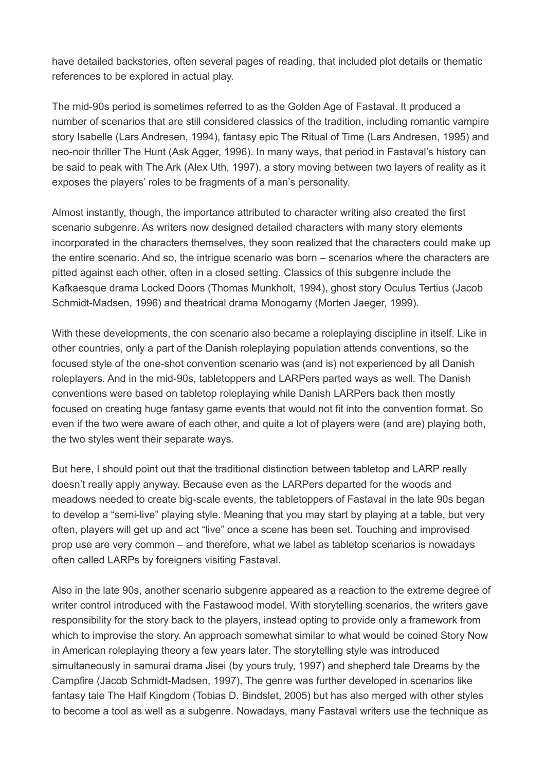have detailed backstories, often several pages of reading, that included plot details or thematic references to be explored in actual play.

The mid-90s period is sometimes referred to as the Golden Age of Fastaval. It produced a number of scenarios that are still considered classics of the tradition, including romantic vampire story Isabelle (Lars Andresen, 1994), fantasy epic The Ritual of Time (Lars Andresen, 1995) and neo-noir thriller The Hunt (Ask Agger, 1996). In many ways, that period in Fastaval's history can be said to peak with The Ark (Alex Uth, 1997), a story moving between two layers of reality as it exposes the players' roles to be fragments of a man's personality.

Almost instantly, though, the importance attributed to character writing also created the first scenario subgenre. As writers now designed detailed characters with many story elements incorporated in the characters themselves, they soon realized that the characters could make up the entire scenario. And so, the intrigue scenario was born – scenarios where the characters are pitted against each other, often in a closed setting. Classics of this subgenre include the Kafkaesque drama Locked Doors (Thomas Munkholt, 1994), ghost story Oculus Tertius (Jacob Schmidt-Madsen, 1996) and theatrical drama Monogamy (Morten Jaeger, 1999).

With these developments, the con scenario also became a roleplaying discipline in itself. Like in other countries, only a part of the Danish roleplaying population attends conventions, so the focused style of the one-shot convention scenario was (and is) not experienced by all Danish roleplayers. And in the mid-90s, tabletoppers and LARPers parted ways as well. The Danish conventions were based on tabletop roleplaying while Danish LARPers back then mostly focused on creating huge fantasy game events that would not fit into the convention format. So even if the two were aware of each other, and quite a lot of players were (and are) playing both, the two styles went their separate ways.

But here, I should point out that the traditional distinction between tabletop and LARP really doesn't really apply anyway. Because even as the LARPers departed for the woods and meadows needed to create big-scale events, the tabletoppers of Fastaval in the late 90s began to develop a "semi-live" playing style. Meaning that you may start by playing at a table, but very often, players will get up and act "live" once a scene has been set. Touching and improvised prop use are very common – and therefore, what we label as tabletop scenarios is nowadays often called LARPs by foreigners visiting Fastaval.

Also in the late 90s, another scenario subgenre appeared as a reaction to the extreme degree of writer control introduced with the Fastawood model. With storytelling scenarios, the writers gave responsibility for the story back to the players, instead opting to provide only a framework from which to improvise the story. An approach somewhat similar to what would be coined Story Now in American roleplaying theory a few years later. The storytelling style was introduced simultaneously in samurai drama Jisei (by yours truly, 1997) and shepherd tale Dreams by the Campfire (Jacob Schmidt-Madsen, 1997). The genre was further developed in scenarios like fantasy tale The Half Kingdom (Tobias D. Bindslet, 2005) but has also merged with other styles to become a tool as well as a subgenre. Nowadays, many Fastaval writers use the technique as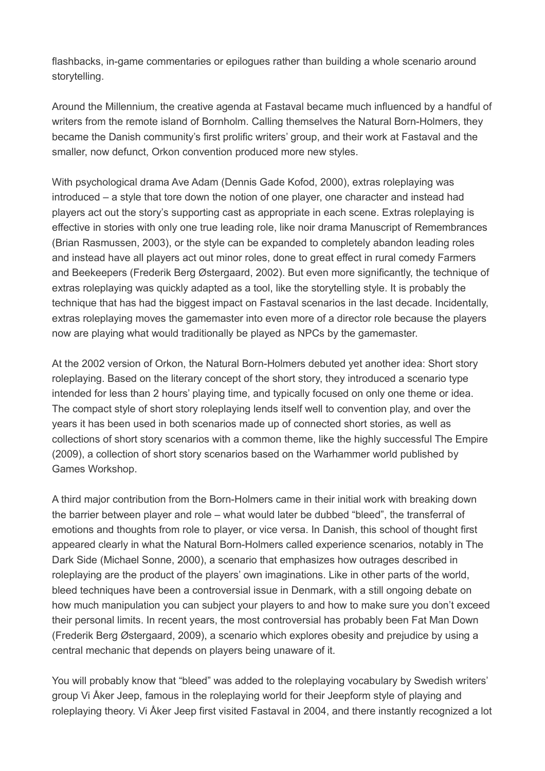flashbacks, in-game commentaries or epilogues rather than building a whole scenario around storytelling.

Around the Millennium, the creative agenda at Fastaval became much influenced by a handful of writers from the remote island of Bornholm. Calling themselves the Natural Born-Holmers, they became the Danish community's first prolific writers' group, and their work at Fastaval and the smaller, now defunct, Orkon convention produced more new styles.

With psychological drama Ave Adam (Dennis Gade Kofod, 2000), extras roleplaying was introduced – a style that tore down the notion of one player, one character and instead had players act out the story's supporting cast as appropriate in each scene. Extras roleplaying is effective in stories with only one true leading role, like noir drama Manuscript of Remembrances (Brian Rasmussen, 2003), or the style can be expanded to completely abandon leading roles and instead have all players act out minor roles, done to great effect in rural comedy Farmers and Beekeepers (Frederik Berg Østergaard, 2002). But even more significantly, the technique of extras roleplaying was quickly adapted as a tool, like the storytelling style. It is probably the technique that has had the biggest impact on Fastaval scenarios in the last decade. Incidentally, extras roleplaying moves the gamemaster into even more of a director role because the players now are playing what would traditionally be played as NPCs by the gamemaster.

At the 2002 version of Orkon, the Natural Born-Holmers debuted yet another idea: Short story roleplaying. Based on the literary concept of the short story, they introduced a scenario type intended for less than 2 hours' playing time, and typically focused on only one theme or idea. The compact style of short story roleplaying lends itself well to convention play, and over the years it has been used in both scenarios made up of connected short stories, as well as collections of short story scenarios with a common theme, like the highly successful The Empire (2009), a collection of short story scenarios based on the Warhammer world published by Games Workshop.

A third major contribution from the Born-Holmers came in their initial work with breaking down the barrier between player and role – what would later be dubbed "bleed", the transferral of emotions and thoughts from role to player, or vice versa. In Danish, this school of thought first appeared clearly in what the Natural Born-Holmers called experience scenarios, notably in The Dark Side (Michael Sonne, 2000), a scenario that emphasizes how outrages described in roleplaying are the product of the players' own imaginations. Like in other parts of the world, bleed techniques have been a controversial issue in Denmark, with a still ongoing debate on how much manipulation you can subject your players to and how to make sure you don't exceed their personal limits. In recent years, the most controversial has probably been Fat Man Down (Frederik Berg Østergaard, 2009), a scenario which explores obesity and prejudice by using a central mechanic that depends on players being unaware of it.

You will probably know that "bleed" was added to the roleplaying vocabulary by Swedish writers' group Vi Åker Jeep, famous in the roleplaying world for their Jeepform style of playing and roleplaying theory. Vi Åker Jeep first visited Fastaval in 2004, and there instantly recognized a lot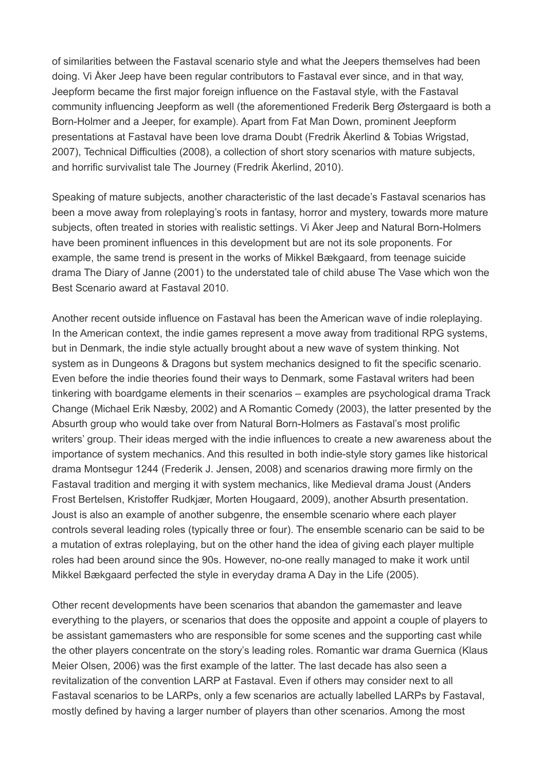of similarities between the Fastaval scenario style and what the Jeepers themselves had been doing. Vi Åker Jeep have been regular contributors to Fastaval ever since, and in that way, Jeepform became the first major foreign influence on the Fastaval style, with the Fastaval community influencing Jeepform as well (the aforementioned Frederik Berg Østergaard is both a Born-Holmer and a Jeeper, for example). Apart from Fat Man Down, prominent Jeepform presentations at Fastaval have been love drama Doubt (Fredrik Åkerlind & Tobias Wrigstad, 2007), Technical Difficulties (2008), a collection of short story scenarios with mature subjects, and horrific survivalist tale The Journey (Fredrik Åkerlind, 2010).

Speaking of mature subjects, another characteristic of the last decade's Fastaval scenarios has been a move away from roleplaying's roots in fantasy, horror and mystery, towards more mature subjects, often treated in stories with realistic settings. Vi Åker Jeep and Natural Born-Holmers have been prominent influences in this development but are not its sole proponents. For example, the same trend is present in the works of Mikkel Bækgaard, from teenage suicide drama The Diary of Janne (2001) to the understated tale of child abuse The Vase which won the Best Scenario award at Fastaval 2010.

Another recent outside influence on Fastaval has been the American wave of indie roleplaying. In the American context, the indie games represent a move away from traditional RPG systems, but in Denmark, the indie style actually brought about a new wave of system thinking. Not system as in Dungeons & Dragons but system mechanics designed to fit the specific scenario. Even before the indie theories found their ways to Denmark, some Fastaval writers had been tinkering with boardgame elements in their scenarios – examples are psychological drama Track Change (Michael Erik Næsby, 2002) and A Romantic Comedy (2003), the latter presented by the Absurth group who would take over from Natural Born-Holmers as Fastaval's most prolific writers' group. Their ideas merged with the indie influences to create a new awareness about the importance of system mechanics. And this resulted in both indie-style story games like historical drama Montsegur 1244 (Frederik J. Jensen, 2008) and scenarios drawing more firmly on the Fastaval tradition and merging it with system mechanics, like Medieval drama Joust (Anders Frost Bertelsen, Kristoffer Rudkjær, Morten Hougaard, 2009), another Absurth presentation. Joust is also an example of another subgenre, the ensemble scenario where each player controls several leading roles (typically three or four). The ensemble scenario can be said to be a mutation of extras roleplaying, but on the other hand the idea of giving each player multiple roles had been around since the 90s. However, no-one really managed to make it work until Mikkel Bækgaard perfected the style in everyday drama A Day in the Life (2005).

Other recent developments have been scenarios that abandon the gamemaster and leave everything to the players, or scenarios that does the opposite and appoint a couple of players to be assistant gamemasters who are responsible for some scenes and the supporting cast while the other players concentrate on the story's leading roles. Romantic war drama Guernica (Klaus Meier Olsen, 2006) was the first example of the latter. The last decade has also seen a revitalization of the convention LARP at Fastaval. Even if others may consider next to all Fastaval scenarios to be LARPs, only a few scenarios are actually labelled LARPs by Fastaval, mostly defined by having a larger number of players than other scenarios. Among the most